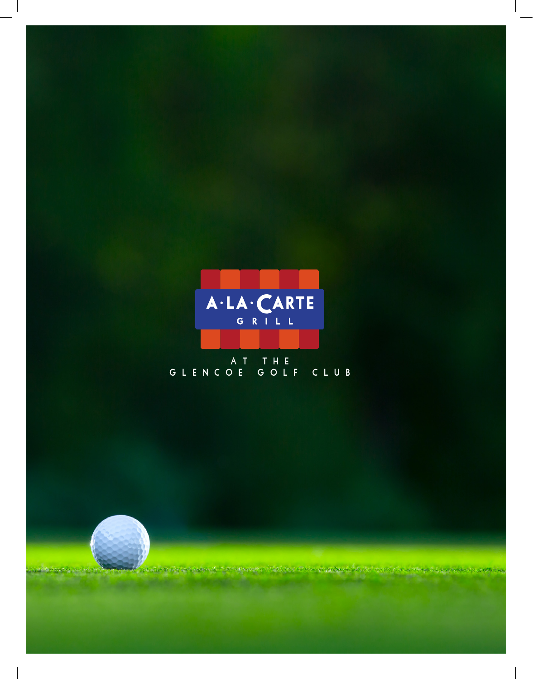

# AT THE<br>GLENCOE GOLF CLUB

Advances ya Maryski Ma

**CONTRACTOR** 

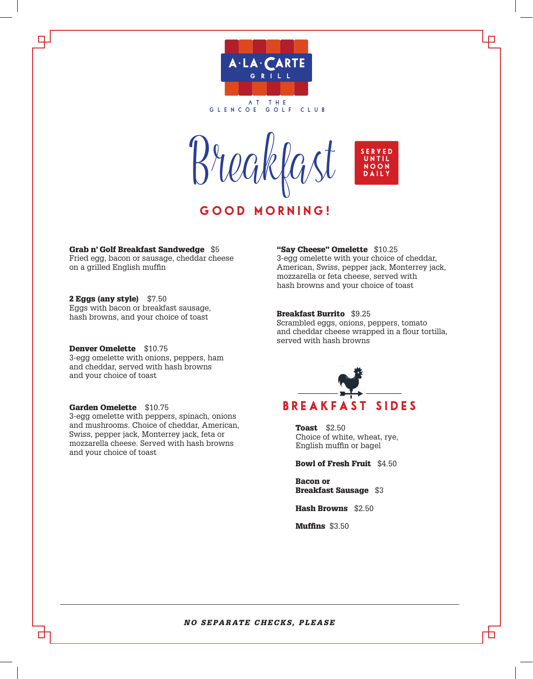

Breakfast

GOOD MORNING!



Grab n' Golf Breakfast Sandwedge \$5 Fried egg, bacon or sausage, cheddar cheese on a grilled English muffin

2 Eggs (any style) \$7.50 Eggs with bacon or breakfast sausage, hash browns, and your choice of toast

Denver Omelette \$10.75 3-egg omelette with onions, peppers, ham and cheddar, served with hash browns and your choice of toast

#### Garden Omelette \$10.75 3-egg omelette with peppers, spinach, onions and mushrooms. Choice of cheddar, American, Swiss, pepper jack, Monterrey jack, feta or mozzarella cheese. Served with hash browns and your choice of toast

#### "Say Cheese" Omelette \$10.25

3-egg omelette with your choice of cheddar, American, Swiss, pepper jack, Monterrey jack, mozzarella or feta cheese, served with hash browns and your choice of toast

#### Breakfast Burrito \$9.25

Scrambled eggs, onions, peppers, tomato and cheddar cheese wrapped in a flour tortilla, served with hash browns



Toast \$2.50 Choice of white, wheat, rye, English muffin or bagel

Bowl of Fresh Fruit \$4.50

Bacon or Breakfast Sausage \$3

Hash Browns \$2.50

Muffins \$3.50

#### *NO SEPARATE CHECKS, PLEASE*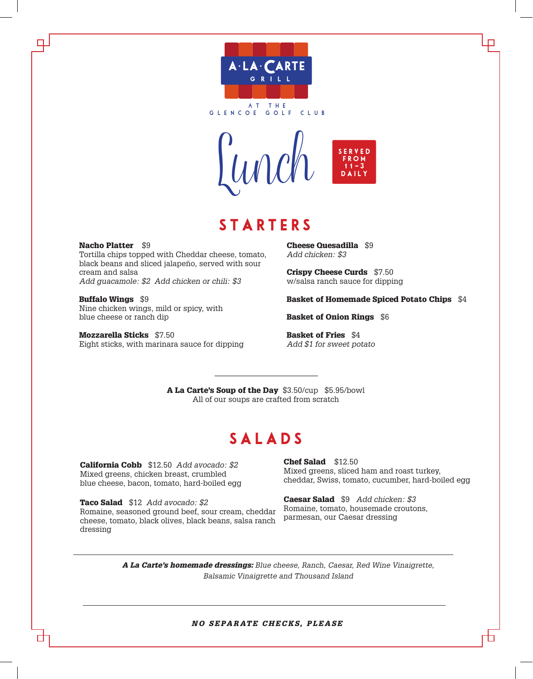

**g l e nco e golf club**



### **STARTERS**

Nacho Platter \$9 Tortilla chips topped with Cheddar cheese, tomato,

black beans and sliced jalapeño, served with sour cream and salsa *Add guacamole: \$2 Add chicken or chili: \$3*

Buffalo Wings \$9 Nine chicken wings, mild or spicy, with blue cheese or ranch dip

Mozzarella Sticks \$7.50 Eight sticks, with marinara sauce for dipping Cheese Quesadilla \$9 *Add chicken: \$3*

Crispy Cheese Curds \$7.50 w/salsa ranch sauce for dipping

Basket of Homemade Spiced Potato Chips \$4

Basket of Onion Rings \$6

Basket of Fries \$4 *Add \$1 for sweet potato*

A La Carte's Soup of the Day \$3.50/cup \$5.95/bowl All of our soups are crafted from scratch

### **SALADS**

California Cobb \$12.50 *Add avocado: \$2* Mixed greens, chicken breast, crumbled blue cheese, bacon, tomato, hard-boiled egg

Taco Salad \$12 *Add avocado: \$2* Romaine, seasoned ground beef, sour cream, cheddar cheese, tomato, black olives, black beans, salsa ranch dressing

Chef Salad \$12.50 Mixed greens, sliced ham and roast turkey, cheddar, Swiss, tomato, cucumber, hard-boiled egg

h

Caesar Salad \$9 *Add chicken: \$3* Romaine, tomato, housemade croutons, parmesan, our Caesar dressing

*A La Carte's homemade dressings: Blue cheese, Ranch, Caesar, Red Wine Vinaigrette, Balsamic Vinaigrette and Thousand Island* 

*NO SEPARATE CHECKS, PLEASE*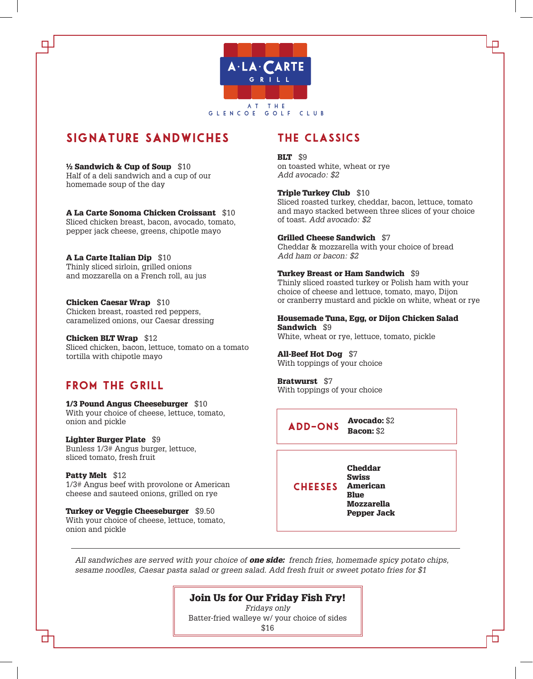

### signature sandwiches

#### ½ Sandwich & Cup of Soup \$10

Half of a deli sandwich and a cup of our homemade soup of the day

#### A La Carte Sonoma Chicken Croissant \$10

Sliced chicken breast, bacon, avocado, tomato, pepper jack cheese, greens, chipotle mayo

#### A La Carte Italian Dip \$10

Thinly sliced sirloin, grilled onions and mozzarella on a French roll, au jus

#### Chicken Caesar Wrap \$10

Chicken breast, roasted red peppers, caramelized onions, our Caesar dressing

#### Chicken BLT Wrap \$12 Sliced chicken, bacon, lettuce, tomato on a tomato tortilla with chipotle mayo

#### From the grill

#### 1/3 Pound Angus Cheeseburger \$10

With your choice of cheese, lettuce, tomato, onion and pickle

#### Lighter Burger Plate \$9

Bunless 1/3# Angus burger, lettuce, sliced tomato, fresh fruit

#### Patty Melt \$12

1/3# Angus beef with provolone or American cheese and sauteed onions, grilled on rye

Turkey or Veggie Cheeseburger \$9.50 With your choice of cheese, lettuce, tomato, onion and pickle

### the classics

#### **BLT** \$9

on toasted white, wheat or rye *Add avocado: \$2*

#### Triple Turkey Club \$10

Sliced roasted turkey, cheddar, bacon, lettuce, tomato and mayo stacked between three slices of your choice of toast. *Add avocado: \$2*

#### Grilled Cheese Sandwich \$7

Cheddar & mozzarella with your choice of bread *Add ham or bacon: \$2*

#### Turkey Breast or Ham Sandwich \$9

Thinly sliced roasted turkey or Polish ham with your choice of cheese and lettuce, tomato, mayo, Dijon or cranberry mustard and pickle on white, wheat or rye

#### Housemade Tuna, Egg, or Dijon Chicken Salad Sandwich \$9

White, wheat or rye, lettuce, tomato, pickle

#### All-Beef Hot Dog \$7

With toppings of your choice

#### Bratwurst \$7

With toppings of your choice

Avocado: \$2 Bacon: \$2 add-ons

Cheddar Swiss American **Blue** Mozzarella Pepper Jack **CHEESES** 

*All sandwiches are served with your choice of one side: french fries, homemade spicy potato chips, sesame noodles, Caesar pasta salad or green salad. Add fresh fruit or sweet potato fries for \$1*

#### Join Us for Our Friday Fish Fry!

*Fridays only* Batter-fried walleye w/ your choice of sides \$16